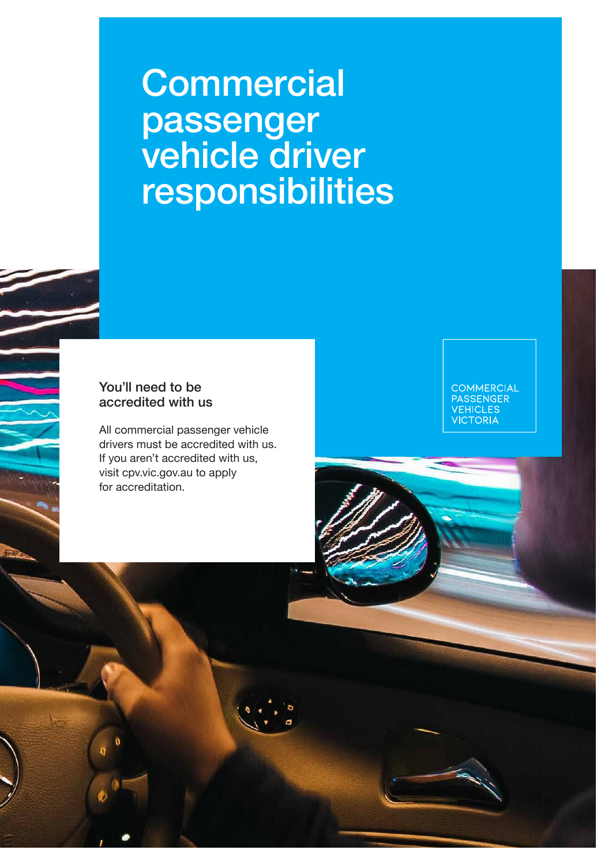# **Commercial** passenger vehicle driver responsibilities

# You'll need to be accredited with us

All commercial passenger vehicle drivers must be accredited with us. If you aren't accredited with us, visit cpv.vic.gov.au to apply for accreditation.

COMMERCIAL<br>PASSENGER<br>VEHICLES<br>VICTORIA